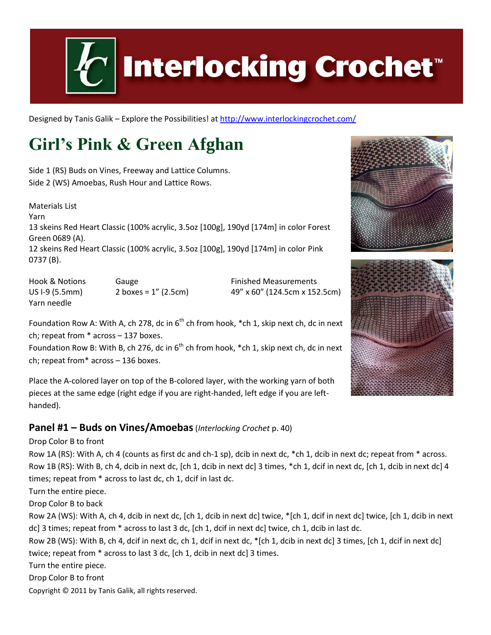

# **Interlocking Crochet™**

Designed by Tanis Galik – Explore the Possibilities! a[t http://www.interlockingcrochet.com/](http://www.interlockingcrochet.com/)

# **Girl's Pink & Green Afghan**

Side 1 (RS) Buds on Vines, Freeway and Lattice Columns. Side 2 (WS) Amoebas, Rush Hour and Lattice Rows.

Materials List Yarn 13 skeins Red Heart Classic (100% acrylic, 3.5oz [100g], 190yd [174m] in color Forest Green 0689 (A). 12 skeins Red Heart Classic (100% acrylic, 3.5oz [100g], 190yd [174m] in color Pink 0737 (B).

Hook & Notions **Gauge Communist Communist Communist Communist Communist Communist Communist Communist Communist Communist Communist Communist Communist Communist Communist Communist Communist Communist Communist Communist** US I-9 (5.5mm) 2 boxes = 1" (2.5cm) 49" x 60" (124.5cm x 152.5cm) Yarn needle

Foundation Row A: With A, ch 278, dc in  $6<sup>th</sup>$  ch from hook, \*ch 1, skip next ch, dc in next ch; repeat from \* across – 137 boxes.

Foundation Row B: With B, ch 276, dc in  $6<sup>th</sup>$  ch from hook, \*ch 1, skip next ch, dc in next ch; repeat from\* across – 136 boxes.

Place the A-colored layer on top of the B-colored layer, with the working yarn of both pieces at the same edge (right edge if you are right-handed, left edge if you are lefthanded).

#### **Panel #1 – Buds on Vines/Amoebas**(*Interlocking Crochet* p. 40)

Drop Color B to front

Row 1A (RS): With A, ch 4 (counts as first dc and ch-1 sp), dcib in next dc, \*ch 1, dcib in next dc; repeat from \* across. Row 1B (RS): With B, ch 4, dcib in next dc, [ch 1, dcib in next dc] 3 times, \*ch 1, dcif in next dc, [ch 1, dcib in next dc] 4 times; repeat from \* across to last dc, ch 1, dcif in last dc.

Turn the entire piece.

Drop Color B to back

Row 2A (WS): With A, ch 4, dcib in next dc, [ch 1, dcib in next dc] twice, \*[ch 1, dcif in next dc] twice, [ch 1, dcib in next dc] 3 times; repeat from \* across to last 3 dc, [ch 1, dcif in next dc] twice, ch 1, dcib in last dc.

Row 2B (WS): With B, ch 4, dcif in next dc, ch 1, dcif in next dc, \*[ch 1, dcib in next dc] 3 times, [ch 1, dcif in next dc] twice; repeat from \* across to last 3 dc, [ch 1, dcib in next dc] 3 times.

Turn the entire piece.

Drop Color B to front

Copyright © 2011 by Tanis Galik, all rights reserved.



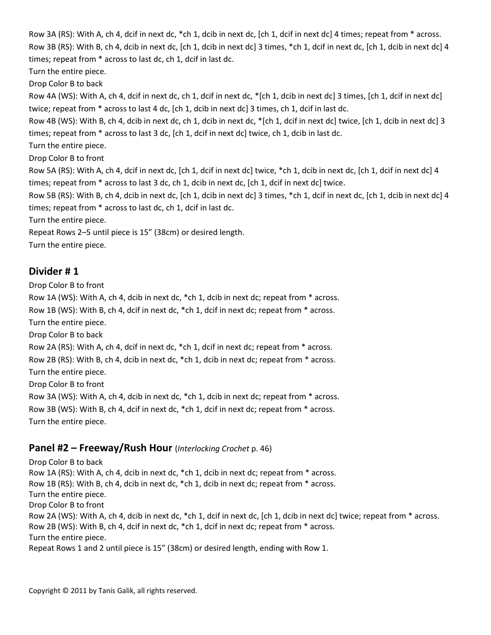Row 3A (RS): With A, ch 4, dcif in next dc, \*ch 1, dcib in next dc, [ch 1, dcif in next dc] 4 times; repeat from \* across. Row 3B (RS): With B, ch 4, dcib in next dc, [ch 1, dcib in next dc] 3 times, \*ch 1, dcif in next dc, [ch 1, dcib in next dc] 4 times; repeat from \* across to last dc, ch 1, dcif in last dc.

Turn the entire piece.

Drop Color B to back

Row 4A (WS): With A, ch 4, dcif in next dc, ch 1, dcif in next dc, \*[ch 1, dcib in next dc] 3 times, [ch 1, dcif in next dc] twice; repeat from \* across to last 4 dc, [ch 1, dcib in next dc] 3 times, ch 1, dcif in last dc.

Row 4B (WS): With B, ch 4, dcib in next dc, ch 1, dcib in next dc, \*[ch 1, dcif in next dc] twice, [ch 1, dcib in next dc] 3 times; repeat from \* across to last 3 dc, [ch 1, dcif in next dc] twice, ch 1, dcib in last dc.

Turn the entire piece.

Drop Color B to front

Row 5A (RS): With A, ch 4, dcif in next dc, [ch 1, dcif in next dc] twice, \*ch 1, dcib in next dc, [ch 1, dcif in next dc] 4 times; repeat from \* across to last 3 dc, ch 1, dcib in next dc, [ch 1, dcif in next dc] twice.

Row 5B (RS): With B, ch 4, dcib in next dc, [ch 1, dcib in next dc] 3 times, \*ch 1, dcif in next dc, [ch 1, dcib in next dc] 4 times; repeat from \* across to last dc, ch 1, dcif in last dc.

Turn the entire piece.

Repeat Rows 2–5 until piece is 15" (38cm) or desired length.

Turn the entire piece.

#### **Divider # 1**

Drop Color B to front Row 1A (WS): With A, ch 4, dcib in next dc, \*ch 1, dcib in next dc; repeat from \* across. Row 1B (WS): With B, ch 4, dcif in next dc, \*ch 1, dcif in next dc; repeat from \* across. Turn the entire piece. Drop Color B to back Row 2A (RS): With A, ch 4, dcif in next dc, \*ch 1, dcif in next dc; repeat from \* across. Row 2B (RS): With B, ch 4, dcib in next dc, \*ch 1, dcib in next dc; repeat from \* across. Turn the entire piece. Drop Color B to front Row 3A (WS): With A, ch 4, dcib in next dc, \*ch 1, dcib in next dc; repeat from \* across. Row 3B (WS): With B, ch 4, dcif in next dc, \*ch 1, dcif in next dc; repeat from \* across. Turn the entire piece.

#### **Panel #2 – Freeway/Rush Hour** (*Interlocking Crochet* p. 46)

Drop Color B to back Row 1A (RS): With A, ch 4, dcib in next dc, \*ch 1, dcib in next dc; repeat from \* across. Row 1B (RS): With B, ch 4, dcib in next dc, \*ch 1, dcib in next dc; repeat from \* across. Turn the entire piece. Drop Color B to front Row 2A (WS): With A, ch 4, dcib in next dc, \*ch 1, dcif in next dc, [ch 1, dcib in next dc] twice; repeat from \* across. Row 2B (WS): With B, ch 4, dcif in next dc, \*ch 1, dcif in next dc; repeat from \* across. Turn the entire piece. Repeat Rows 1 and 2 until piece is 15" (38cm) or desired length, ending with Row 1.